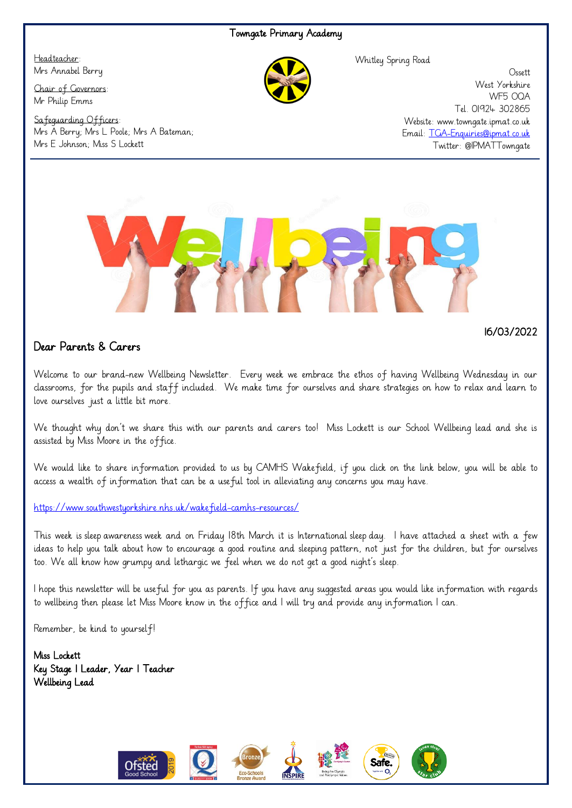## Towngate Primary Academy

Headteacher: Mrs Annabel Berry

Chair of Governors: Mr Philip Emms

Safeguarding Officers: Mrs A Berry; Mrs L Poole; Mrs A Bateman; Mrs E Johnson; Miss S Lockett

Whitley Spring Road

**Ossett** West Yorkshire WF5 OQA Tel. 01924 302865 Website: www.towngate.ipmat.co.uk Email: [TGA-Enquiries@ipmat.co.uk](mailto:TGA-Enquiries@ipmat.co.uk) Twitter: @IPMATTowngate



## Dear Parents & Carers

Welcome to our brand-new Wellbeing Newsletter. Every week we embrace the ethos of having Wellbeing Wednesday in our classrooms, for the pupils and staff included. We make time for ourselves and share strategies on how to relax and learn to love ourselves just a little bit more.

We thought why don't we share this with our parents and carers too! Miss Lockett is our School Wellbeing lead and she is assisted by Miss Moore in the office.

We would like to share information provided to us by CAMHS Wakefield, if you click on the link below, you will be able to access a wealth of information that can be a useful tool in alleviating any concerns you may have.

<https://www.southwestyorkshire.nhs.uk/wakefield-camhs-resources/>

This week is sleep awareness week and on Friday 18th March it is International sleep day. I have attached a sheet with a few ideas to help you talk about how to encourage a good routine and sleeping pattern, not just for the children, but for ourselves too. We all know how grumpy and lethargic we feel when we do not get a good night's sleep.

I hope this newsletter will be useful for you as parents. If you have any suggested areas you would like information with regards to wellbeing then please let Miss Moore know in the office and I will try and provide any information I can.

Remember, be kind to yourself!

Miss Lockett Key Stage 1 Leader, Year 1 Teacher Wellbeing Lead



16/03/2022